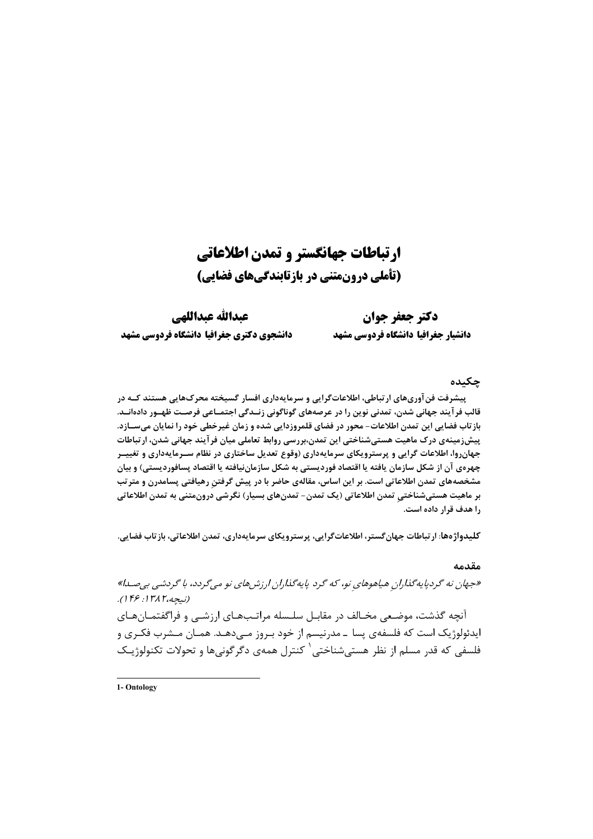# ارتباطات جهانگستر و تمدن اطلاعاتی (تأملی درونمتنی در بازتابندگیهای فضایی)

دكتر جعفر جوان دانشيار جغرافيا دانشكاه فردوسي مشهد

عبدالله عبداللهي دانشجوي دكترى جغرافيا دانشكاه فردوسي مشهد

## چکیده

پیشرفت فن آوریهای ارتباطی، اطلاعاتگرایی و سرمایهداری افسار گسیخته محرکهایی هستند کـه در قالب فر آیند جهانی شدن، تمدنی نوین را در عرصههای گوناگونی زنــدگی اجتمــاعی فرصــت ظهــور دادهانــد. بازتاب فضایی این تمدن اطلاعات- محور در فضای قلمروزدایی شده و زمان غیرخطی خود را نمایان میســازد. پیشزدمینهی درک ماهیت هستیشناختی این تمدن،بررسی روابط تعاملی میان فرآیند جهانی شدن، ارتباطات جهان٫وا، اطلاعات گرایی و پرسترویکای سرمایهداری (وقوع تعدیل ساختاری در نظام ســرمایهداری و تغییــر چهرهی آن از شکل سازمان یافته یا اقتصاد فوردیستی به شکل سازماننیافته یا اقتصاد پسافوردیستی) و بیان مشخصههای تمدن اطلاعاتی است. بر این اساس، مقالهی حاضر با در پیش گرفتنِ رهیافتی پسامدرن و متر تب بر ماهیت هستیشناختی تمدن اطلاعاتی (یک تمدن- تمدنهای بسیار) نگرشی درونمتنی به تمدن اطلاعاتی را هدف قرار داده است.

كليدواژهها: ارتباطات جهان گستر، اطلاعات گرايي، پرسترويكاي سرمايهداري، تمدن اطلاعاتي، بازتاب فضايي.

### مقدمه

«جهان نه گردپایهگذاران هیاهوهای نو، که گرد پایهگذاران ارزشهای نو میگردد، با گردشی بیصدا)» (نيجه،١٣٨٢: ۱۴۶). آنچه گذشت، موضعی مخـالف در مقابـل سلـسله مراتـبـهـای ارزشـبی و فراگفتمـانهـای ايدئولوژيک است که فلسفهي پسا ــ مدرنيسم از خود بـروز مـيدهـد. همـان مـشرب فکـري و فلسفی که قدر مسلم از نظر هستی شناختی <sup>۱</sup> کنترل همهی دگرگونیها و تحولات تکنولوژیـک

1- Ontology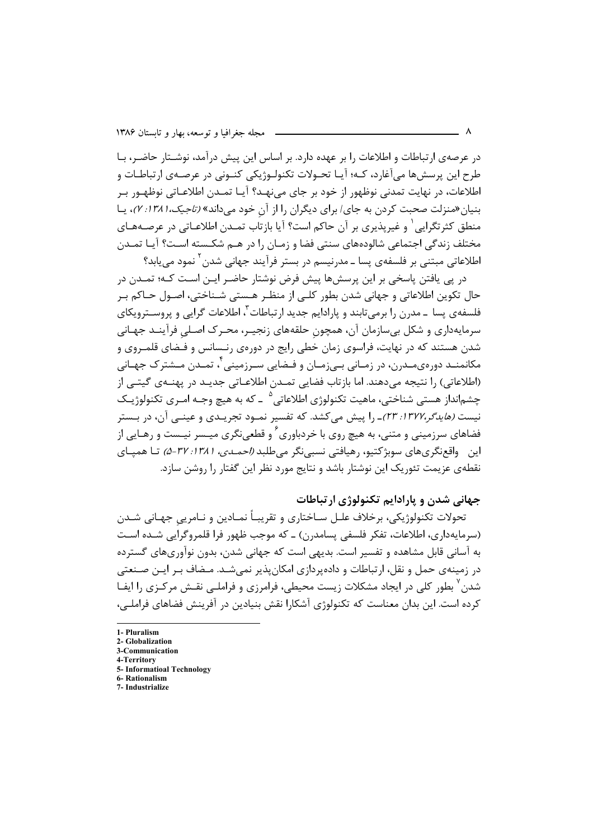در عرصهی ارتباطات و اطلاعات را بر عهده دارد. بر اساس این پیش درآمد، نوشـتار حاضـر، بـا طرح اين پرسشها مي آغارد، كـه؛ آيـا تحـولات تكنولـوژيكي كنـوني در عرصـهي ارتباطـات و اطلاعات، در نهایت تمدنی نوظهور از خود بر جای می;نهـد؟ آیـا تمـدن اطلاعـاتی نوظهـور بـر بنیان «منزلت صحبت کردن به جای/ برای دیگران را از آن خود می داند» *(تاجیک، ۱۳۸۱: ۲)*، یـا منطق کثرتگرایی ٰ و غیریذیری بر آن حاکم است؟ آیا بازتاب تمـدن اطلاعـاتی در عرصـههـای مختلف زندگی اجتماعی شالودههای سنتی فضا و زمـان را در هـم شکـسته اسـت؟ آیـا تمـدن اطلاعاتی مبتنی بر فلسفهی پسا ــ مدرنیسم در بستر فرآیند جهانی شدن <sup>۲</sup> نمود مے پابد؟

در پی یافتن پاسخی بر این پرسشها پیش فرض نوشتار حاضـر ایـن اسـت کـه؛ تمـدن در حال تکوین اطلاعاتی و جهانی شدن بطور کلـی از منظـر هـستی شـناختی، اصـول حـاکم بـر فلسفهي پسا ـ مد<sub>ار</sub>ن را برمي تابند و پارادايم جديد ارتباطات<sup>۳</sup>، اطلاعات گرايي و پروســتروپکاي سرمايهداري و شكل بيسازمان آن، همچون حلقههاي زنجيـر، محـرک اصـلي فرآينـد جهـاني شدن هستند که در نهایت، فراسوی زمان خطی رایج در دورهی رنـسانس و فـضای قلمـروی و مکانمنـد دورهي،مـدرن، در زمـاني بـيزمـان و فـضايي سـرزميني أ، تمـدن مـشترک جهـاني .<br>(اطلاعاتي) ,ا نتيجه مي دهند. اما بازتاب فضايي تمــدن اطلاعـاتي جديــد در يهنــهي گيتــي از چشم|نداز هستي شناختي، ماهيت تكنولوژي اطلاعاتي<sup>0</sup> ــ كه به هيچ وجــه امــري تكنولوژيــك نیست *(هایدگر،۲۲۷۲: ۲۳)*ـ را پیش می کشد. که تفسیر نمـود تجریـدی و عینـی آن، در بـستر فضاهای سرزمینی و متنی، به هیچ روی با خردباوری ٔ و قطعی،نگری میـسر نیـست و رهـایی از این واقعنگریهای سوبژکتیو، رهیافتی نسبی نگر میطلبد *(احمـدی، ۱۳۸۱: ۵-۵)* تـا همیـای نقطهی عزیمت تئوریک این نوشتار باشد و نتایج مورد نظر این گفتار را روشن سازد.

# جهانی شدن و بارادایم تکنولوژی ارتباطات

تحولات تکنولوژیکی، برخلاف علـل سـاختاری و تقریبـاً نمـادین و نـامریی جهـانی شـدن (سرمايهداري، اطلاعات، تفكر فلسفي پسامدرن) ـ كه موجب ظهور فرا قلمروگرايي شـده اسـت به آسانی قابل مشاهده و تفسیر است. بدیهی است که جهانی شدن، بدون نوآوریهای گسترده در زمینهی حمل و نقل، ارتباطات و داده یردازی امکان پذیر نمی شـد. مـضاف بـر ایـن صـنعتی شدن<sup>۷</sup> بطور کلی در ایجاد مشکلات زیست محیطی، فرامرزی و فراملــی نقــش مرکــزی را ایفــا کرده است. این بدان معناست که تکنولوژی آشکارا نقش بنیادین در آفرینش فضاهای فراملے،

<sup>1-</sup> Pluralism 2. Clobalization

<sup>3-</sup>Communication

<sup>4-</sup>Territory

<sup>5-</sup> Informatioal Technology

<sup>6.</sup> Rationalism

<sup>7-</sup> Industrialize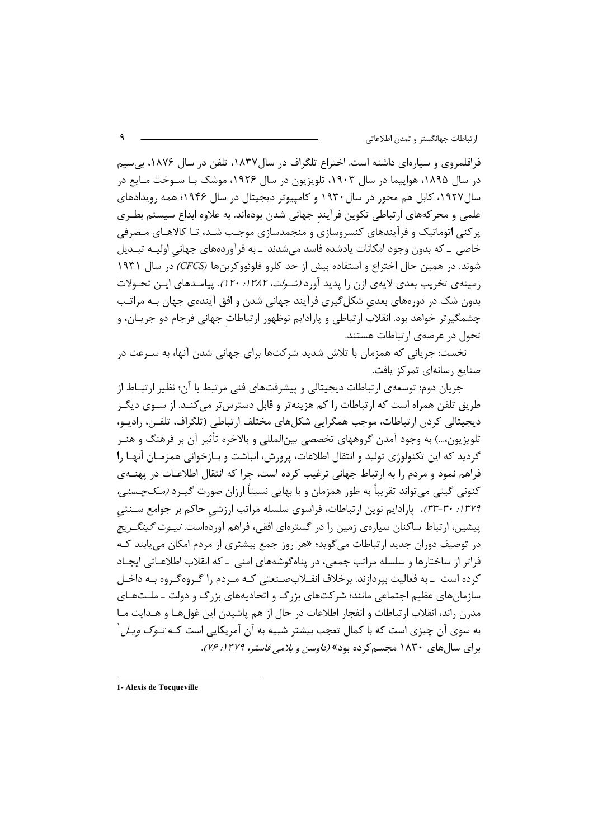فراقلمروی و سیارهای داشته است. اختراع تلگراف در سال۱۸۳۷، تلفن در سال ۱۸۷۶، بی سیم در سال ۱۸۹۵، هواپیما در سال ۱۹۰۳، تلویزیون در سال ۱۹۲۶، موشک بـا ســوخت مــایع در سال ۱۹۲۷، کابل هم محور در سال ۱۹۳۰ و کامپیوتر دیجیتال در سال ۱۹۴۶؛ همه رویدادهای علمی و محر کههای ارتباطی تکوین فرآیند جهانی شدن بودهاند. به علاوه ابداع سیستم بطـری پرکنی اتوماتیک و فرآیندهای کنسروسازی و منجمدسازی موجب شـد، تـا کالاهـای مـصرفی خاصی \_ که بدون وجود امکانات یادشده فاسد میشدند \_ به فرآوردههای جهانی اولیــه تبــدیل شوند. در همین حال اختراع و استفاده بیش از حد کلرو فلوئووکربنها (CFCS) در سال ۱۹۳۱ زمینهی تخریب بعدی لایهی ازن را پدید آورد *(شـولت، ۱۳۸۲: ۱۲۰)*. پیامـدهای ایـن تحـولات بدون شک در دورههای بعدی شکل گیری فرآیند جهانی شدن و افق آیندهی جهان بـه مراتـب چشمگیرتر خواهد بود. انقلاب ارتباطی و پارادایم نوظهور ارتباطات جهانی فرجام دو جریــان، و تحول در عرصهی ارتباطات هستند.

نخست: جریانی که همزمان با تلاش شدید شرکتها برای جهانی شدن آنها، به سـرعت در صنایع رسانهای تمرکز یافت.

جريان دوم: توسعهي ارتباطات ديجيتالي و پيشرفتهاي فني مرتبط با آن؛ نظير ارتبــاط از طریق تلفن همراه است که ارتباطات را کم هزینهتر و قابل دسترس تر می کنـد. از ســوی دیگــر دیجیتالی کردن ارتباطات، موجب همگرایی شکلهای مختلف ارتباطی (تلگراف، تلفـن، رادیـو، تلویزیون،…) به وجود آمدن گروههای تخصصی بین|لمللی و بالاخره تأثیر آن بر فرهنگ و هنـر گردید که این تکنولوژی تولید و انتقال اطلاعات، پرورش، انباشت و بـازخوانی همزمـان آنهـا را فراهم نمود و مردم را به ارتباط جهانی ترغیب کرده است، چرا که انتقال اطلاعـات در پهنــهی کنونی گیتی می تواند تقریباً به طور همزمان و با بهایی نسبتاً ارزان صورت گیـرد *(مـکـچـسنی،* ۱۳۷۹: ۳۰-۳۳). پارادایم نوین ارتباطات، فراسوی سلسله مراتب ارزشی حاکم بر جوامع سـنتی پیشین، ارتباط ساکنان سیارهی زمین را در گسترهای افقی، فراهم آوردهاست. *نیـوت گینگـریچ* در توصیف دوران جدید ارتباطات میگوید؛ «هر روز جمع بیشتری از مردم امکان می یابند کـه فراتر از ساختارها و سلسله مراتب جمعی، در پناهگوشههای امنی ــ که انقلاب اطلاعــاتی ایجــاد کرده است ـ به فعالیت بیردازند. برخلاف انقــلاب0سـنعتی کـه مـردم را گـروهگـروه بـه داخـل سازمانهای عظیم اجتماعی مانند؛ شرکتهای بزرگ و اتحادیههای بزرگ و دولت ـ ملـتهـای مدرن راند، انقلاب ارتباطات و انفجار اطلاعات در حال از هم پاشیدن این غولهـا و هـدایت مـا به سوی آن چیزی است که با کمال تعجب بیشتر شبیه به آن آمریکایی است کـه *تـوک ویـل* <sup>(</sup> برای سال های ۱۸۳۰ مجسم کرده بود» *(داوسن و بلامی فاستر، ۱۳۷۹: ۲۶).* 

<sup>1-</sup> Alexis de Tocqueville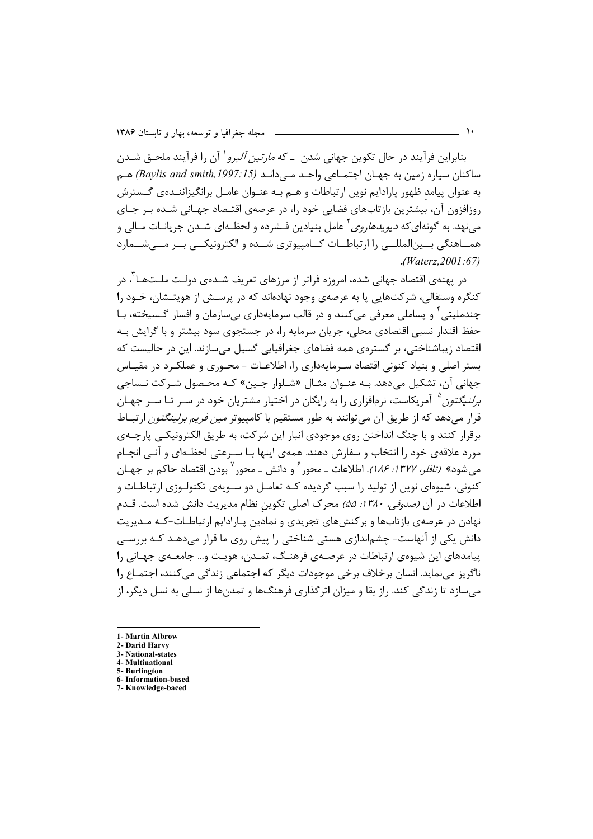بنابراین فرآیند در حال تکوین جهانی شدن ـ که *مارتین آلبرو*` آن را فرآیند ملحـق شـدن ساكنان سياره زمين به جهـان اجتمـاعي واحـد مـي دانـد (Baylis and smith,1997:15) هـم به عنوان پیامد ظهور پارادایم نوین ارتباطات و هــم بــه عنــوان عامــل برانگیزاننــدهی گــسترش روزافزون آن، بیشترین بازتابهای فضایی خود را، در عرصهی اقتـصاد جهـانی شـده بـر جـای می;نهد. به گونهای *که دیویدهاروی* ٔ عامل بنیادین فـشرده و لحظـهای شـدن جریانـات مـالی و همــاهنگی بــین|لمللــی را ارتباطــات کــامپیوتری شــده و الکترونیکــی بــر مــیشــمارد  $. (Waterz, 2001:67)$ 

در پهنهي اقتصاد جهاني شده، امروزه فراتر از مرزهاي تعريف شــدهي دولـت ملــتهــا ّ، د٬ کنگره وستفالی، شرکتهایی پا به عرصهی وجود نهادهاند که در پرسـش از هویتـشان، خـود را چندملیتی ٔ و پساملی معرفی می کنند و در قالب سرمایهداری بی سازمان و افسار گـسیخته، بـا حفظ اقتدار نسبی اقتصادی محلی، جریان سرمایه را، در جستجوی سود بیشتر و با گرایش بـه اقتصاد زیباشناختی، بر گستروی همه فضاهای جغرافیایی گسیل می سازند. این در حالیست که يستر اصلي و بنياد كنوني اقتصاد سيرمايهداري را، اطلاعيات - محيوري و عملكيرد در مقياس جهاني آن، تشكيل مي دهد. بــه عنــوان مثــال «شــلوار جــين» كــه محـصول شــركت نــساجي *برلنیگتون*<sup>۵</sup> آمریکاست، نرمافزاری را به رایگان در اختیار مشتریان خود در سـر تـا سـر جهـان قرار میدهد که از طریق آن می توانند به طور مستقیم با کامپیوتر *مین فریم برلینگتون* ارتبــاط برقرار کنند و با چنگ انداختن روی موجودی انبار این شرکت، به طریق الکترونیکـی پارچـهی مورد علاقهی خود را انتخاب و سفارش دهند. همهی اینها بـا سـرعتی لحظـهای و آنـی انجـام میشود» *(تافلر، ۱۳۷۷: ۱۸۶).* اطلاعات ــ محور <sup>۶</sup> و دانش ــ محور <sup>۷</sup> بودن اقتصاد حاکم بر جهــان کنونی، شیوهای نوین از تولید را سبب گردیده کـه تعامـل دو سـویهی تکنولـوژی ارتباطـات و اطلاعات در آن *(صدوقى، ١٣٨٠: ۵۵)* محرك اصلى تكوين نظام مديريت دانش شده است. قـدم نهادن در عرصهی بازتابها و برکنشهای تجریدی و نمادین پـارادایم ارتباطـات-کـه مـدیریت دانش یکی از آنهاست- چشماندازی هستی شناختی را پیش روی ما قرار می دهـد کـه بررسـی پیامدهای این شیوهی ارتباطات در عرصـهی فرهنـگ، تمـدن، هویـت و… جامعـهی جهـانی را ناگریز مے نماید. انسان برخلاف برخی موجودات دیگر که اجتماعی زندگی می کنند، اجتمـاع را می سازد تا زندگی کند. راز بقا و میزان اثرگذاری فرهنگها و تمدنها از نسلی به نسل دیگر، از

<sup>1-</sup> Martin Albrow

<sup>2-</sup> Darid Harvy 3- National-states

<sup>4-</sup> Multinational

<sup>5-</sup> Burlington

<sup>6-</sup> Information-based 7- Knowledge-baced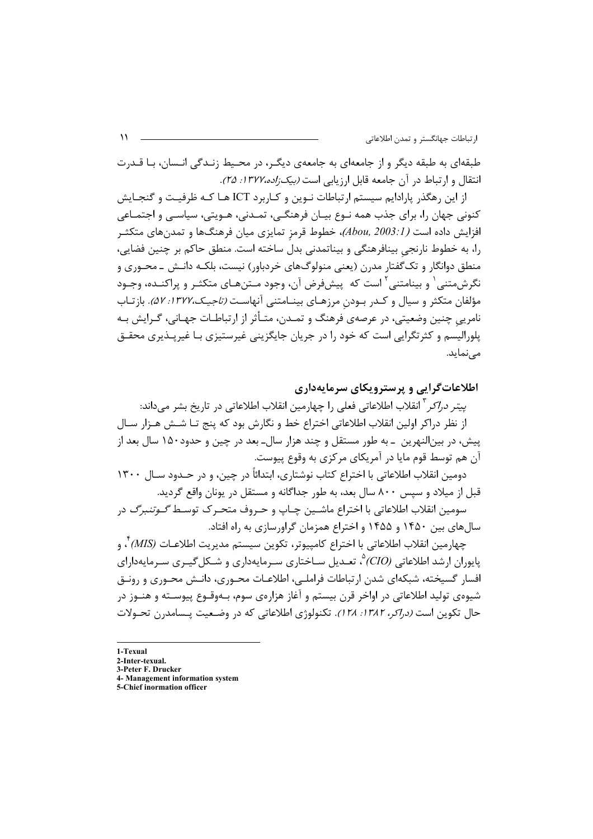طبقهای به طبقه دیگر و از جامعهای به جامعهی دیگـر، در محـیط زنـدگی انـسان، بـا قـدرت انتقال و ارتباط در آن جامعه قابل ارزبابی است *(بیک;اده،۱۳۷۲: ۲۵)*.

از این رهگذر پارادایم سیستم ارتباطات نـوین و کـاربرد ICT هـا کـه ظرفیـت و گنجـایش کنونی جهان را، برای جذب همه نـوع بیـان فرهنگـی، تمـدنی، هـویتی، سیاسـی و اجتمـاعی افزایش داده است ( *Abou, 2003: I)، خط*وط قرمز تمایزی میان فرهنگها و تمدنهای متکثــر را، به خطوط نارنجی بینافرهنگی و بیناتمدنی بدل ساخته است. منطق حاکم بر چنین فضایی، منطق دوانگار و تک گفتار مدرن (یعنی منولوگـهای خردباور) نیست، بلکـه دانـش ــ محـوری و نگرشمتنی ٰ و بینامتنی ٔ است که پیشفرض آن، وجود مـتنهـای متکثـر و پراکنـده، وجـود مؤلفان متكثر و سيال و كـدر بـودن مرزهـاي بينـامتني آنهاسـت *(تاجيـك،١٣٧٢: ۵٧)*. بازتـاب نامریی چنین وضعیتی، در عرصهی فرهنگ و تمـدن، متـأثر از ارتباطـات جهـانی، گـرایش بـه يلوراليسم و كثرتگرايي است كه خود را در جريان جايگزيني غيرستيزي بـا غيريــذيري محقــق مے نماید.

اطلاعات گرایی و پرسترویکای سرمایهداری

*پيتر دراكر* ` انقلاب اطلاعاتي فعلي را چهارمين انقلاب اطلاعاتي در تاريخ بشر ميداند: از نظر دراكر اولين انقلاب اطلاعاتي اختراع خط و نگارش بود كه پنج تـا شــش هــزار ســال پیش، در بینالنهرین \_به طور مستقل و چند هزار سال\_بعد در چین و حدود۱۵۰ سال بعد از آن هم توسط قوم مایا در آمریکای مرکزی به وقوع پیوست.

دومین انقلاب اطلاعاتی با اختراع کتاب نوشتاری، ابتدائاً در چین، و در حــدود ســال ۱۳۰۰ قبل از میلاد و سپس ۸۰۰ سال بعد، به طور جداگانه و مستقل در یونان واقع گردید.

سومين انقلاب اطلاعاتي با اختراع ماشــين چـاپ و حـروف متحـر ک توسـط *گـوتنبرگ* در سالهای بین ۱۴۵۰ و ۱۴۵۵ و اختراع همزمان گراورسازی به راه افتاد.

چهارمين انقلاب اطلاعاتي با اختراع كامپيوتر، تكوين سيستم مديريت اطلاعـات (MIS) ٌ، و یایوران ارشد اطلاعاتی (CIO)<sup>۵</sup>۰ تعـدیل ســاختاری سـرمایهداری و شــکل *گیــر*ی سـرمایهدارای افسار گسیخته، شبکهای شدن ارتباطات فراملے، اطلاعـات محـوری، دانـش محـوری و رونـق شیوهی تولید اطلاعاتی در اواخر قرن بیستم و آغاز هزارهی سوم، بـهوقــوع پیوســته و هنــوز در حال تكوين است *(دراكر، ١٣٨٢: ١٢٨)*. تكنولوژي اطلاعاتي كه در وضـعيت پـسامدرن تحـولات

- 1-Texual
- 2-Inter-texual. 3-Peter F. Drucker
- 4- Management information system
- 5-Chief inormation officer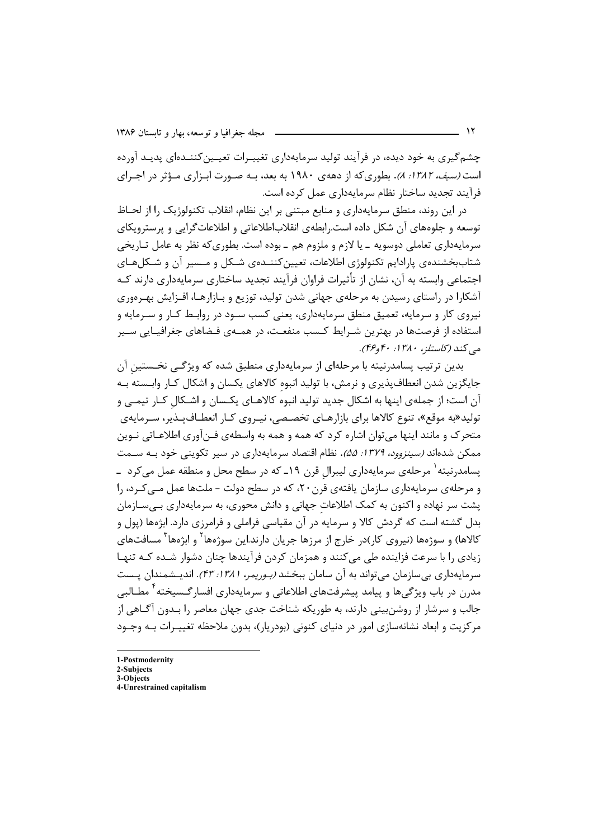چشمگیری به خود دیده، در فرآیند تولید سرمایهداری تغییـرات تعیـین کننـدهای پدیـد آورده است *(سیف، ۱۳۸۲: ۸)*. بطوری که از دههی ۱۹۸۰ به بعد، بـه صـورت ابـزاری مـؤثر در اجـرای فرآیند تجدید ساختار نظام سرمایهداری عمل کرده است.

در این روند، منطق سرمایهداری و منابع مبتنی بر این نظام، انقلاب تکنولوژیک را از لحـاظ توسعه و جلوههای آن شکل داده است.رابطهی انقلاباطلاعاتی و اطلاعات $\mathfrak{d}$ ایی و پرسترویکای سرمایهداری تعاملی دوسویه ـ یا لازم و ملزوم هم ـ بوده است. بطوری که نظر به عامل تـاریخی شتاببخشندهی یارادایم تکنولوژی اطلاعات، تعیینکننـدهی شـکل و مـسیر آن و شـکلهـای احتماعي واسته به آن، نشان از تأثيرات فراوان فرآيند تحديد ساختاري سرمايهداري دارند كـه آشکارا در راستای رسیدن به مرحلهی جهانی شدن تولید، توزیع و بـازارهـا، افـزایش بهـرەوری نیروی کار و سرمایه، تعمیق منطق سرمایهداری، یعنی کسب سـود در روابـط کـار و سـرمایه و استفاده از فرصتها در بهترین شـرایط کـسب منفعـت، در همــهی فـضاهای جغرافیـایی ســیر مبي كند (كاستلز، ۱۳۸۰؛ ۴۶و۴۴).

بدین ترتیب پسامدرنیته با مرحلهای از سرمایهداری منطبق شده که ویژگے، نخستین آن جایگزین شدن انعطافپذیری و نرمش، با تولید انبوه کالاهای یکسان و اشکال کـار وابـسته بـه آن است؛ از جملهی اینها به اشکال جدید تولید انبوه کالاهـای یکـسان و اشـکال کـار تیمـی و تولید«به موقع»، تنوع کالاها برای بازارهـای تخصـصی، نیـروی کـار انعطـاف<code>یـذیر،</code> سـرمایهی متحرک و مانند اینها می توان اشاره کرد که همه و همه به واسطهی فـنآوری اطلاعـاتی نـوین ممکن شدهاند *(سینزوود، ۱۳۷۹: ۵۵)*. نظام اقتصاد سرمایهداری در سیر تکوینی خود بـه سـمت یسامدرنیته<sup>۱</sup> مرحلهی سرمایهداری لیبرال قرن ۱۹ـ که در سطح محل و منطقه عمل میکرد ـ و مرحلهي سرمايهداري سازمان يافتهي قرن ٢٠، كه در سطح دولت - ملتها عمل مــي كـرد، را پشت سر نهاده و اکنون به کمک اطلاعات جهانی و دانش محوری، به سرمایهداری بےسازمان بدل گشته است که گردش کالا و سرمایه در آن مقیاسی فراملی و فرامرزی دارد. ابژهها (پول و کالاها) و سوژەها (نیروی کار)در خارج از مرزها جریان دارند.این سوژەها<sup>۲</sup> و ابژەها<sup>۳</sup> مسافتهای زیادی را با سرعت فزاینده طی می کنند و همزمان کردن فرآیندها چنان دشوار شــده کــه تنهـا سرمايهداري بي سازمان مي تواند به آن سامان ببخشد *(بوريمر، ١٣٨١: ۴۳)*. انديـشمندان يـست مدرن در باب ویژگی ها و پیامد پیشرفتهای اطلاعاتی و سرمایهداری افسارگـسیخته <sup>۲</sup> مطــالبی جالب و سرشار از روشنبینی دارند، به طوریکه شناخت جدی جهان معاصر را بـدون آگــاهی از مرکزیت و ابعاد نشانهسازی امور در دنیای کنونی (بودریار)، بدون ملاحظه تغییـرات بـه وجـود

2-Subiects 3-Objects

<sup>1-</sup>Postmodernity

<sup>4-</sup>Unrestrained capitalism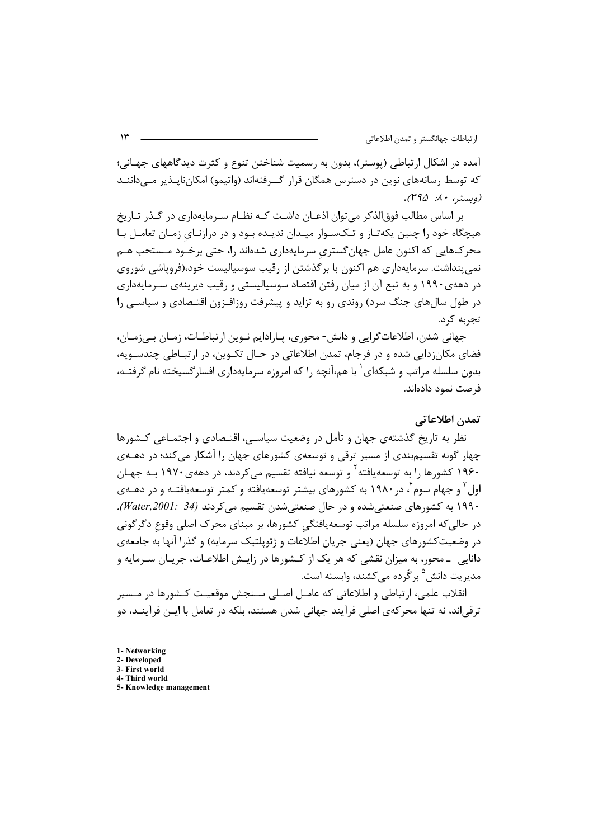آمده در اشکال ارتباطی (پوستر)، بدون به رسمیت شناختن تنوع و کثرت دیدگاههای جهـانی؛ که توسط رسانههای نوین در دسترس همگان قرار گــرفتهاند (واتیمو) امکان،ایـذیر مــی۱داننـد (وېستيږ، ۸۰: ۳۹۵).

بر اساس مطالب فوق|لذکر میتوان اذعـان داشـت کـه نظـام سـرمايهداري در گـذر تـاريخ هیچگاه خود را چنین یکهتـاز و تـکـسـوار میـدان ندیـده بـود و در درازنـای زمـان تعامـل بـا محر ک&ایی که اکنون عامل جهان گستری سرمایهداری شدهاند را، حتی برخـود مـستحب هـم نمی بنداشت. سرمایهداری هم اکنون با بر گذشتن از رقیب سوسیالیست خود،(فرویاشی شوروی در دههی۱۹۹۰ و به تبع آن از میان رفتن اقتصاد سوسیالیستی و رقیب دیرینهی سـرمایهداری در طول سالهای جنگ سرد) روندی رو به تزاید و پیشرفت روزافـزون اقتـصادی و سیاسـی را تجربه کرد.

جهاني شدن، اطلاعات گرايي و دانش- محوري، پـارادايم نـوين ارتباطـات، زمـان بـي;مـان، فضای مکان;دایی شده و در فرجام، تمدن اطلاعاتی در حـال تکـوین، در ارتبـاطے، چندسـویه، بدون سلسله مراتب و شبکهای` با هم،آنچه ,ا که امروزه سرمایهداری افسار گسیخته نام گرفتـه، فرصت نمود دادهاند.

## تمدن اطلاعاتي

نظر به تاریخ گذشتهی جهان و تأمل در وضعیت سیاسے، اقتـصادی و اجتمــاعی کــشورها چهار گونه تقسیمبندی از مسیر ترقی و توسعهی کشورهای جهان را آشکار می کند؛ در دهــهی ۱۹۶۰ کشورها را به توسعه یافته <sup>۲</sup> و توسعه نیافته تقسیم م*ی ک*ردند، در دههی ۱۹۷۰ بـه جهـان اول ؓ و جهام سوم ؓ ، در ۱۹۸۰ به کشورهای بیشتر توسعهیافته و کمتر توسعهیافتـه و در دهـهی ۱۹۹۰ به کشورهای صنعتی شده و در حال صنعتی شدن تقسیم می کردند (Water,2001: 34). در حاليكه امروزه سلسله مراتب توسعهيافتگي كشورها، بر مبناي محرك اصلي وقوع دگرگوني در وضعیتکشورهای جهان (یعنی جریان اطلاعات و ژئوپلتیک سرمایه) و گذرا آنها به جامعهی دانایی به محور، به میزان نقشی که هر یک از کـشورها در زایـش اطلاعـات، جریـان سـرمایه و مدیریت دانش <sup>۵</sup> بر گُرده مے کشند، وابسته است.

انقلاب علمے ،، ا, تباطے , و اطلاعاتے , که عامـل اصـلے , سـنجش موقعیـت کـشورها در مـسیر ترقی|ند، نه تنها محر کهی اصلی فرآیند جهانی شدن هستند، بلکه در تعامل با ایــن فرآینــد، دو

5- Knowledge management

<sup>1-</sup> Networking

<sup>2-</sup> Developed 3- First world

<sup>4-</sup> Third world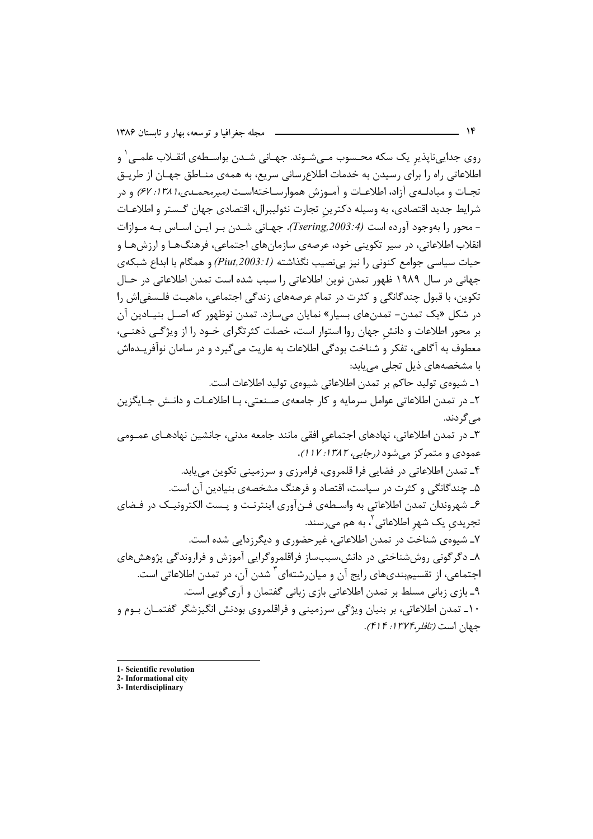روی جداییناپذیر یک سکه محـسوب مـیشـوند. جهـانی شـدن بواسـطهی انقــلاب علمـی ٰ و اطلاعاتی راه را برای رسیدن به خدمات اطلاع سانی سریع، به همهی منـاطق جهـان از طریـق تجـات و مبادلــهي آزاد، اطلاعـات و آمــوزش هموارسـاختهاسـت (میرمحمــدی، ۱۳۸۱: ۶۷) و در شرايط جديد اقتصادي، به وسيله دكترين تجارت نئوليبرال، اقتصادي جهان گـستر و اطلاعـات - محور را بهوجود آورده است (Tsering,2003:4). جهـاني شـدن بـر ايـن اسـاس بـه مـوازات انقلاب اطلاعاتي، در سير تکويني خود، عرصهي سازمانهاي اجتماعي، فرهنگهـا و ارزشهـا و حیات سیاسی جوامع کنونی را نیز بی نصیب نگذاشته (Piut,2003:1) و همگام با ابداع شبکهی جهانی در سال ۱۹۸۹ ظهور تمدن نوین اطلاعاتی را سبب شده است تمدن اطلاعاتی در حـال تکوین، با قبول چندگانگی و کثرت در تمام عرصههای زندگی اجتماعی، ماهیـت فلـسفی|ش را در شکل «یک تمدن– تمدنهای بسیار» نمایان می سازد. تمدن نوظهور که اصـل بنیـادین آن بر محور اطلاعات و دانش جهان روا استوار است، خصلت کثرتگرای خـود را از ویژگـی ذهنـی، معطوف به آگاهي، تفكر و شناخت بودگي اطلاعات به عاريت مي گيرد و در سامان نوآفريـدهاش با مشخصههای ذیل تجلی می یابد: ١ـ شيوەي توليد حاكم بر تمدن اطلاعاتى شيوەي توليد اطلاعات است. ٢ـ در تمدن اطلاعاتي عوامل سرمايه وكار جامعهي صنعتي، بـا اطلاعـات و دانـش جـايگزين مے گر دند. ٣ـ در تمدن اطلاعاتي، نهادهاي اجتماعي افقي مانند جامعه مدني، جانشين نهادهـاي عمــومي عمودی و متمر کز می شود (رجایی، ۱۳۸۲: ۱۱۷). ۴ـ تمدن اطلاعاتي در فضايي فرا قلمروي، فرامرزي و سرزميني تكوين مي يابد. ۵ـ چندگانگی و کثرت در سیاست، اقتصاد و فرهنگ مشخصهی بنیادین آن است. ۶ـ شهروندان تمدن اطلاعاتي به واسـطهي فـنآوري اينترنـت و پـست الكترونيـك در فـضاي تجریدی یک شهر اطلاعاتی<sup>۲</sup>، به هم م<sub>یر</sub>سند. ۷ـ شیوهی شناخت در تمدن اطلاعاتی، غیرحضوری و دیگرزدایی شده است. ۸ـ دگر گونی روششناختی در دانش،سببساز فراقلمروگرایی آموزش و فراروندگی پژوهشهای اجتماعی، از تقسیمبندیهای رایج آن و میان٫شتهای<sup>۳</sup> شدن آن، در تمدن اطلاعاتی است. ۹ـ بازی زبانی مسلط بر تمدن اطلاعاتی بازی زبانی گفتمان و آری¢ویی است. ۱۰ـ تمدن اطلاعاتی، بر بنیان ویژگی سرزمینی و فراقلمروی بودنش انگیزشگر گفتمـان بـوم و

1- Scientific revolution

جهان است *(تافله،۱۳۷۴: ۴۱۴)*.

<sup>2-</sup> Informational city

<sup>3-</sup> Interdisciplinary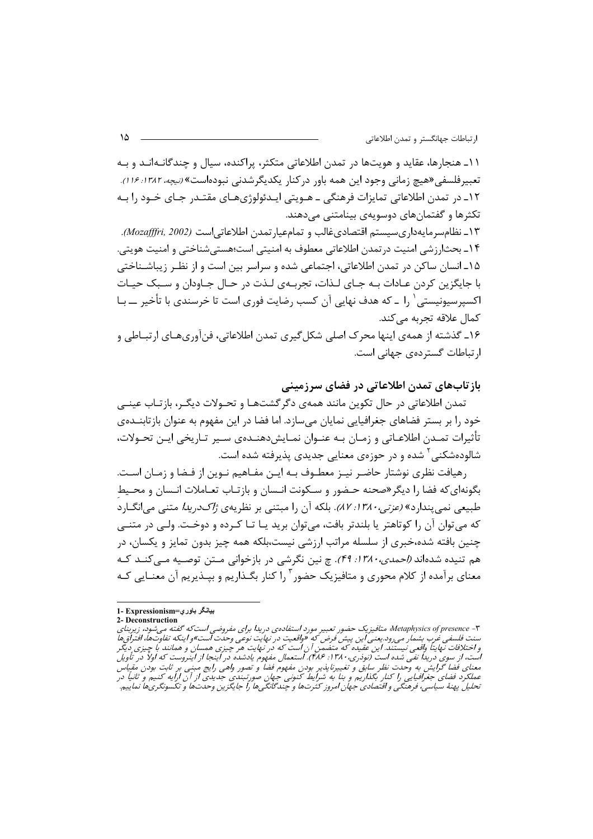۱۱ـ هنجارها، عقاید و هویتها در تمدن اطلاعاتی متکثر، پراکنده، سیال و چندگانـهانـد و بـه تعبیر فلسفی «هیچ زمانی وجود این همه باور در کنار یکدیگر شدنی نبودهاست» *(نیچه، ۱۳۸۲؛ ۱۶).* ١٢ـ در تمدن اطلاعاتي تمايزات فرهنگي ــ هــويتي ايــدئولوژيهــاي مقتــدر جــاي خــود را بــه تکثرها و گفتمانهای دوسویهی بینامتنی مے دهند.

۱۳ـ نظامسرمايهداريسيستم اقتصادىغالب و تمامعيارتمدن اطلاعاتي|ست (Mozafffri, 2002). ۱۴ـ بحثارزشي امنيت درتمدن اطلاعاتي معطوف به امنيتي است؛هستيشناختي و امنيت هويتي. ۱۵ـ انسان ساکن در تمدن اطلاعاتی، اجتماعی شده و سراسر بین است و از نظـر زیباشـناختی با جايگزين كردن عـادات بــه جــاي لــذات، تجربــهي لــذت در حــال جــاودان و ســبک حيــات اکسپرسپونیستی ` ۱٫ ــ که هدف نهایی آن کسب رضایت فوری است تا خرسندی با تأخیر ـــ بــا كمال علاقه تجربه مي كند. ۱۶ـ گذشته از همهي اينها محرك اصلي شكل5يري تمدن اطلاعاتي، فنآوريهـاي ارتبـاطي و

ار تباطات گستردهی جهانی است.

### باز تابهای تمدن اطلاعاتی در فضای سرزمینی

تمدن اطلاعاتی در حال تکوین مانند همهی دگرگشتهـا و تحـولات دیگـر، بازتـاب عینـی خود ٫۱ بر بستر فضاهای جغرافیایی نمایان می سازد. اما فضا در این مفهوم به عنوان بازتابنــدهی تأثیرات تمـدن اطلاعـاتی و زمـان بـه عنـوان نمـایشدهنـدهی سـیر تـاریخی ایـن تحـولات، شالودهشکنی<sup>۲</sup> شده و در حوزهی معنایی جدیدی پذیرفته شده است.

رهيافت نظري نوشتار حاضـر نيـز معطـوف بـه ايـن مفـاهيم نـوين از فـضا و زمـان اسـت. بگونهای که فضا را دیگر *«صحن*ه حـضور و سـکونت انـسان و بازتـاب تعـاملات انـسان و محـیط طبیعی نمی بندارد» *(عزتی،۱۳۸۰، ۸۲).* بلکه آن را مبتنی بر نظریهی *ژاکدریدا* متنی می انگــارد که می توان آن را کوتاهتر یا بلندتر بافت، می توان برید یـا تـا کـرده و دوخـت. ولـی در متنــی چنین بافته شده،خبری از سلسله مراتب ارزشی نیست،بلکه همه چیز بدون تمایز و یکسان، در هم تنیده شدهاند *(احمدی، ۱۳۸۰: ۴۹). چ* نین نگرشی در بازخوانی مـتن توصـیه مـی *کنـ*د کـه معنای برآمده از کلام محوری و متافیزیک حضور ۱٫<sup>۳</sup> کنار بگـذاریم و بیـذیریم آن معنــایی کـه

بيانگر باوري=Expressionism

<sup>2-</sup> Deconstruction

۴ - Metaphysics of presence& متافيزيک حضور تعبير مورد استفادهى دريدا براى مفروضى است که گفته مى شود، زيربناى . مستقدم میشود. از مستقدم از مستقدم استقدام مستقدم و مستقدم میشود. این مستقدم استقدام مستقدم مستقدم استقدام ا<br>سنت فلسفی غرب بشمار می رود. یعنی این پیش فرض که «واقعیت در نهایت نوعی وحدت است»و اینکه تفاوتها، افتراق ها<br>و اخت است، از سوی دریداً نفی شده است (نودری، ۱۳۸۰؛ ۴۸۶). استعمال مفهوم یادشده در اینجا از اینروست که اولاً در تأویل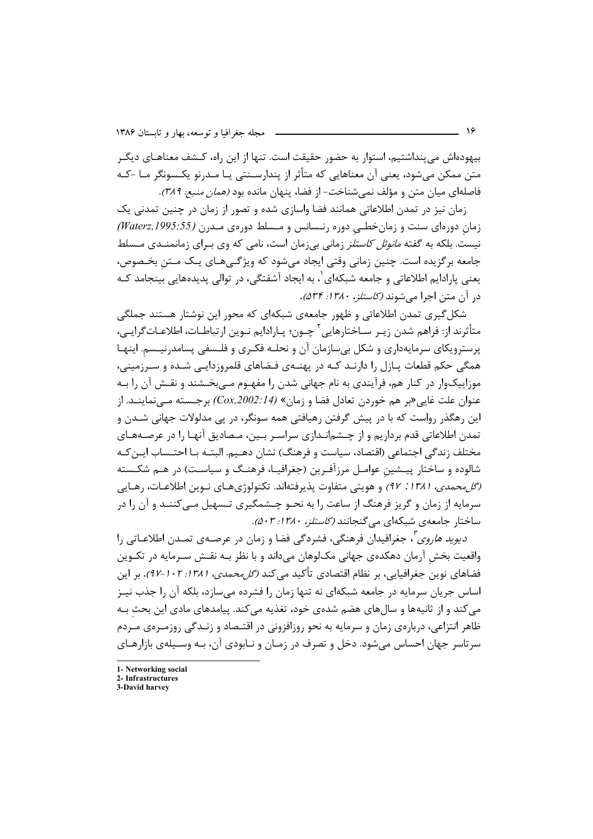بیهودهاش می پنداشتیم، استوار به حضور حقیقت است. تنها از این راه، کـشف معناهـای دیگـر متن ممکن می،شود، یعنی آن معناهایی که متأثر از پندارسـنتی یـا مـدرنو یکـسونگر مـا –کـه فاصله|ی میان متن و مؤلف نمی شناخت– از فضا، پنهان مانده بود *(همان منبع: ۳۸۹)*.

زمان نیز در تمدن اطلاعاتی همانند فضا واسازی شده و تصور از زمان در چنین تمدنی یک زمان دورهای سنت و زمان خطبی دوره رنسانس و مسلط دورهی مـدرن (Waterz, 1995:55) نیست. بلکه به گفته *مانوئل کاستلز* زمانی بی;مان است، نامی که وی بـرای زمانمنــدی مــسلط جامعه برگزیده است. چنین زمانی وقتی ایجاد میشود که ویژگـیهـای یـک مـتن بخـصوص، یعنی پارادایم اطلاعاتی و جامعه شبکهای`، به ایجاد آشفتگی، در توالی پدیدههایی بینجامد کـه د, آن متن اجرا می شوند *(کاستلز، ۱۳۸۰: ۵۳۴)*.

شکل گیری تمدن اطلاعاتی و ظهور جامعهی شبکهای که محور این نوشتار هستند جملگی متأثرند از: فراهم شدن زيـر ســاختارهايي ' چــون؛ پــارادايم نــوين ارتباطــات، اطلاعــاتــرايــي، پرسترویکای سرمایهداری و شکل بی سازمان آن و نحلـه فکـری و فلـسفی پسامدرنیـسم. اینهـا همگی حکم قطعات پـازل را دارنـد کـه در پهنـهی فـضاهای قلمروزدایـی شـده و سـرزمینی، موزاییکوار در کنار هم، فرآیندی به نام جهانی شدن را مفهـوم مـی,بخـشند و نقـش آن را بـه عنوان علت غايي «بر هم خوردن تعادل فضا و زمان» (Cox,2002:14) برجـسته مـيiماينــد. از این رهگذر رواست که با در پیش گرفتن رهیافتی همه سونگر، در پی مدلولات جهانی شـدن و تمدن اطلاعاتی قدم برداریم و از چـشمانـدازی سراسـر بـین، مـصادیق آنهـا را در عرصـههـای مختلف زندگی اجتماعی (اقتصاد، سیاست و فرهنگ) نشان دهـیم. البتـه بـا احتـساب ایـن کـه شالوده و ساختار پیـشین عوامـل مرزآفـرین (جغرافیـا، فرهنـگ و سیاسـت) در هـم شكـسته (*گل محمدی، ۱۳۸۱: ۹۲)* و هویتی متفاوت پذیرفتهاند. تکنولوژیهـای نـوین اطلاعـات، رهـایی سرمایه از زمان و گریز فرهنگ از ساعت را به نحــو چــشمگیری تــسهیل مــیکننــد و آن را در ساختار جامعهی شبکهای می گنجانند (*کاستلز، ۱۳۸۰: ۵۰۳)*.

*دیوید هاروی '، جغ*رافیدان فرهنگی، فشردگی فضا و زمان در عرصـهی تمـدن اطلاعـاتی را واقعیت بخش آرمان دهکدهی جهانی مکلوهان میداند و با نظر بـه نقـش سـرمایه در تکـوین فضاهای نوین جغرافیایی، بر نظام اقتصادی تأکید م*ی ک*ند *(گل محمدی، ۱۳۸۱: ۱۰۲–۹۲)*. بر این اساس جریان سرمایه در جامعه شبکهای نه تنها زمان را فشرده میسازد، بلکه آن را جذب نیـز می کند و از ثانیهها و سالهای هضم شدهی خود، تغذیه می کند. پیامدهای مادی این بحث بـه ظاهر انتزاعی، دربارهی زمان و سرمایه به نحو روزافزونی در اقتـصاد و زنـدگی روزمـرهی مـردم سرتاسر جهان احساس می شود. دخل و تصرف در زمـان و نـابودی آن، بـه وسـیلهی بازارهـای

1- Networking social

<sup>2.</sup> Infrastructures

<sup>3-</sup>David harvey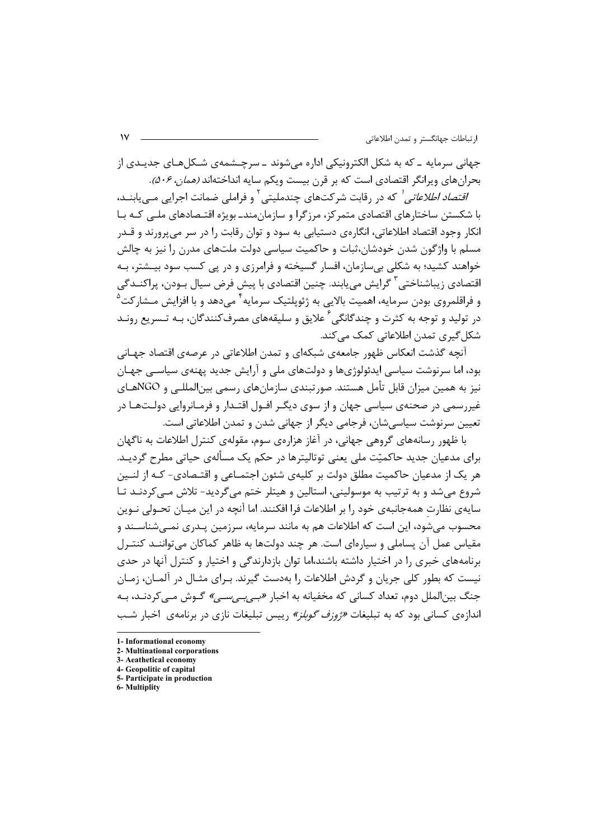جهاني سرمايه \_ که به شکل الکترونيکي اداره مي شوند \_ سرچــشمهي شــکل هـاي جديــدي از بحران های ویرانگر اقتصادی است که بر قرن بیست ویکم سایه انداختهاند (*همان، ۵۰۶).* 

/*قتصاد اطلاعاتی '* که در رقابت شرکتهای چندملیتی <sup>۲</sup> و فراملی ضمانت اجرایی مــیLبابنــد، با شکستن ساختارهای اقتصادی متمرکز، مرزگرا و سازمان،مند\_ بویژه اقتـصادهای ملـے کـه بـا انکار وجود اقتصاد اطلاعاتی، انگارەی دستیابی به سود و توان رقابت را در سر میپرورند و قــدر مسلم با واژگون شدن خودشان،ثبات و حاکمیت سیاسی دولت ملتهای مدرن را نیز به چالش خواهند کشید؛ به شکلی بی سازمان، افسار گسیخته و فرامرزی و در یی کسب سود بیـشتر، بـه اقتصادی زیباشناختی<sup>۳</sup> گرایش مییابند. چنین اقتصادی با پیش فرض سیال بـودن، پراکنــدگی و فراقلمروی بودن سرمایه، اهمیت بالایی به ژئوپلتیک سرمایه<sup>۲</sup> میدهد و با افزایش مـشارکت<sup>٬</sup> در تولید و توجه به کثرت و چندگانگی ٔ علایق و سلیقههای مصرفکنندگان، بـه تـسریع رونـد شکل گیری تمدن اطلاعاتی کمک می کند.

آنچه گذشت انعکاس ظهور جامعهی شبکهای و تمدن اطلاعاتی در عرصهی اقتصاد جهـانی بود، اما سرنوشت سیاسی ایدئولوژیها و دولتهای ملی و آرایش جدید پهنهی سیاســی جهـان نيز به همين ميزان قابل تأمل هستند. صورتبندي سازمانهاي رسمي بين|لمللـي و NGOهـاي غیررسمی در صحنهی سیاسی جهان و از سوی دیگـر افــول اقتــدار و فرمــانروایی دولــتهــا در تعیین سرنوشت سیاسی شان، فرجامی دیگر از جهانی شدن و تمدن اطلاعاتی است.

با ظهور رسانههای گروهی جهانی، در آغاز هزارهی سوم، مقولهی کنترل اطلاعات به ناگهان برای مدعیان جدید حاکمیّت ملی یعنی توتالیترها در حکم یک مسألهی حیاتی مطرح گردیـد. هر یک از مدعیان حاکمیت مطلق دولت بر کلیهی شئون اجتمــاعی و اقتــصادی- کـه از لنــین شروع میشد و به ترتیب به موسولینی، استالین و هیتلر ختم میگردید- تلاش مـیکردنـد تـا سایهی نظارت همهجانبهی خود ٫۱ بر اطلاعات فرا افکنند. اما آنچه در این میـان تحـولی نـوین محسوب میشود، این است که اطلاعات هم به مانند سرمایه، سرزمین پـدری نمـیشناسـند و مقیاس عمل آن پساملی و سیارهای است. هر چند دولتها به ظاهر کماکان می تواننــد کنتــرل برنامههای خبری را در اختیار داشته باشند،اما توان بازدارندگی و اختیار و کنترل آنها در حدی نیست که بطور کلی جریان و گردش اطلاعات را بهدست گیرند. بـرای مثـال در آلمـان، زمـان جنگ بین|لملل دوم، تعداد کسانی که مخفیانه به اخبار *«بے بے سے »* گـوش مـے کردنـد، بـه اندازهی کسانی بود که به تبلیغات *«ژوزف گوبلز»* رییس تبلیغات نازی در برنامهی اخبار شب

5- Participate in production

<sup>1.</sup> Informational economy

<sup>2-</sup> Multinational corporations

<sup>3-</sup> Aeathetical economy 4- Geopolitic of capital

<sup>6-</sup> Multiplity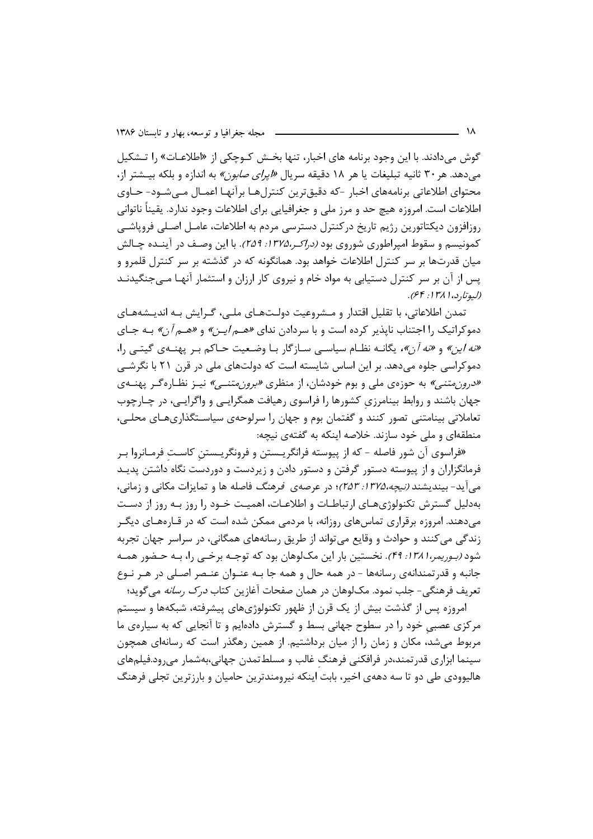گوش میدادند. با این وجود برنامه های اخبار، تنها بخش کـوچکی از «اطلاعـات» را تـشکیل می دهد. هر ۳۰ ثانیه تبلیغات یا هر ۱۸ دقیقه سریال *«ایرای صابون»* به اندازه و بلکه بیـشتر از، محتواي اطلاعاتي برنامههاي اخبار -كه دقيق ترين كنترل هـا برآنهـا اعمـال مـي شـود- حـاوي اطلاعات است. امروزه هیچ حد و مرز ملی و جغرافیایی برای اطلاعات وجود ندارد. یقیناً ناتوانی روزافزون ديكتاتورين رژيم تاريخ دركنترل دسترسي مردم به اطلاعات، عامـل اصـلي فروپاشـي کمونیسم و سقوط امپراطوری شوروی بود *(دراکر،۱۳۷۵: ۲۵۹).* با این وصـف در آینــده چـالش میان قدرتها بر سر کنترل اطلاعات خواهد بود. همانگونه که در گذشته بر سر کنترل قلمرو و پس از آن بر سر کنترل دستیابی به مواد خام و نیروی کار ارزان و استثمار آنهـا مـیجنگیدنـد (ليوتا, د، ١٣٨١: ۶۴).

تمدن اطلاعاتي، با تقليل اقتدار و مــشروعيت دولـتـهـاي ملــي، گـرايش بـه انديــشههـاي دموکراتیک را اجتناب ناپذیر کرده است و با سردادن ندای «*هم ایـن»* و «*هـم آن»* بـه جـای «نه اين» و «نه آن»، يگانــه نظــام سياســي ســازگار بــا وضـعيت حــاكم بــر پهنــهي گيتــي را، دموکراسی جلوه می دهد. بر این اساس شایسته است که دولتهای ملی در قرن ۲۱ با نگرشــی «درون متنبي» به حوزهي ملي و بوم خودشان، از منظري «بر*ون متنبي»* نيـز نظـاره گـر پهنــهي جهان باشند و روابط بینامرزی کشورها را فراسوی رهیافت همگرایـی و واگرایـی، در چـارچوب تعاملاتی بینامتنی تصور کنند و گفتمان بوم و جهان را سرلوحهی سیاسـتگذاریهـای محلـی، منطقهای و ملی خود سازند. خلاصه اینکه به گفتهی نیچه:

«فراسوي آن شور فاصله - كه از پيوسته فرانگريــستن و فرونگريــستنِ كاسـت فرمــانروا بــر فرمانگزاران و از پیوسته دستور گرفتن و دستور دادن و زیردست و دوردست نگاه داشتن پدیـد می آید- بیندیشند *(نیچه،۲۵۸: ۲۵۳)*؛ در عرصهی فر*هنگ* فاصله ها و تمایزات مکانی و زمانی، بهدلیل گسترش تکنولوژیهـای ارتباطـات و اطلاعـات، اهمیـت خـود را روز بـه روز از دسـت می دهند. امروزه برقراری تماس های روزانه، با مردمی ممکن شده است که در قـارههـای دیگـر زندگی می کنند و حوادث و وقایع می تواند از طریق رسانههای همگانی، در سراسر جهان تجربه شود *(بـوریمر،۱۳۸۱: ۴۹)*. نخستین بار این مک4لوهان بود که توجـه برخـی را، بـه حـضور همـه جانبه و قدرتمندانهي رسانهها – در همه حال و همه جا بـه عنــوان عنـصر اصـلي در هــر نــوع تعریف فرهنگی- جلب نمود. مکـلوهان در همان صفحات آغازین کتاب *درک رسانه* میگوید؛

امروزه پس از گذشت بیش از یک قرن از ظهور تکنولوژیهای پیشرفته، شبکهها و سیستم مرکزی عصبی خود را در سطوح جهانی بسط و گسترش دادهایم و تا آنجایی که به سیارهی ما مربوط میشد، مکان و زمان را از میان برداشتیم. از همین رهگذر است که رسانهای همچون سینما ابزاری قدر تمند،در فرافکنی فرهنگ غالب و مسلطتمدن جهانی،بهشمار میرود.فیلمهای هالیوودی طی دو تا سه دههی اخیر، بابت اینکه نیرومندترین حامیان و بارزترین تجلی فرهنگ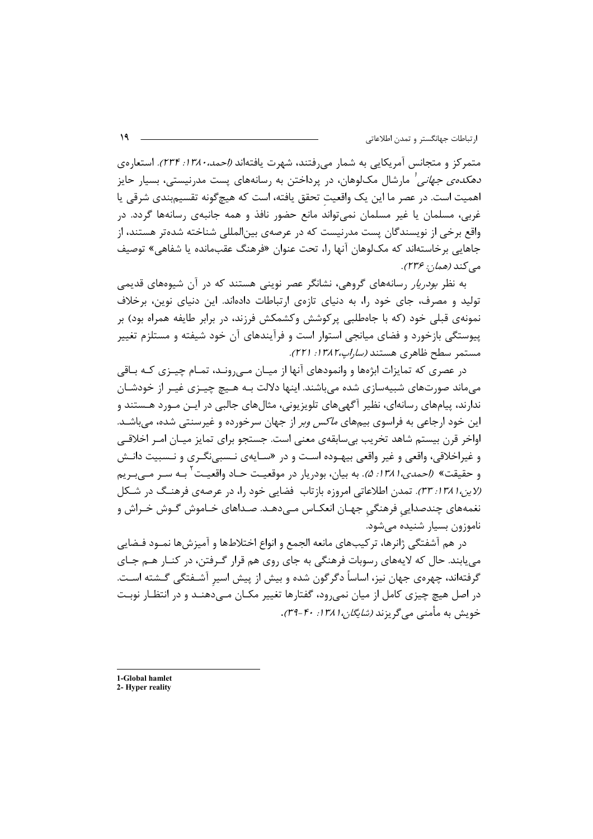متمرکز و متجانس آمریکایی به شمار می رفتند، شهرت یافتهاند *(احمد، ۱۳۸۰: ۲۳۴).* استعارهی *دهکدهی جهانی <sup>ا</sup>* مارشال مک $\mathcal{L}_{\text{per}}$ هان، در پرداختن به رسانههای پست مدرنیستی، بسیار حایز اهمیت است. در عصر ما این یک واقعیت تحقق یافته، است که هیچگونه تقسیمبندی شرقی یا غربي، مسلمان يا غير مسلمان نمي تواند مانع حضور نافذ و همه جانبهي رسانهها گردد. در واقع برخی از نویسندگان پست مدرنیست که در عرصهی بین|لمللی شناخته شدهتر هستند، از جاهایی برخاستهاند که مک[وهان آنها را، تحت عنوان «فرهنگ عقبمانده یا شفاهی» توصیف مي كند (همان: ۲۳۶).

به نظر *بودریار* رسانههای گروهی، نشانگر عصر نوینی هستند که در آن شیوههای قدیمی تولید و مصرف، جای خود را، به دنیای تازهی ارتباطات دادهاند. این دنیای نوین، برخلاف نمونهی قبلی خود (که با جاهطلبی پرکوشش وکشمکش فرزند، در برابر طایفه همراه بود) بر ییوستگی بازخورد و فضای میانجی استوار است و فرآیندهای آن خود شیفته و مستلزم تغییر مستمر سطح ظاهري هستند (*ساراپ،١٣٨٢: ٢٢١).* 

در عصری که تمایزات ابژهها و وانمودهای آنها از میـان مـی٫رونـد، تمـام چیـزی کـه بـاقی میماند صورتهای شبیهسازی شده می باشند. اینها دلالت بـه هـیچ چیـزی غیـر از خودشـان ندارند، پیامهای رسانهای، نظیر آگهیهای تلویزیونی، مثالهای جالبی در ایـن مـورد هـستند و این خود ارجاعی به فراسوی بیمهای *ماکس وبر* از جهان سرخورده و غیرسنتی شده، میباشـد. اواخر قرن بيستم شاهد تخريب بي سابقهي معنى است. جستجو براي تمايز ميـان امـر اخلاقـي و غیراخلاقی، واقعی و غیر واقعی بیهـوده اسـت و در «سـایهی نـسبیiگـری و نـسبیت دانـش و حقيقت» (إحم*دي،١٣٨١: ۵).* به بيان، بودريار در موقعيت حـاد واقعيـت <sup>١</sup> بــه ســر مــ*ي بـ*ريم (لاین، ۱۳۸۱: ۳۳). تمدن اطلاعاتی امروزه بازتاب فضایی خود را، در عرصهی فرهنگ در شکل نغمههای چندصدایی فرهنگی جهـان انعکـاس مـیدهـد. صـداهای خـاموش گـوش خـراش و ناموزون بسيار شنيده مى شود.

در هم آشفتگی ژانرها، ترکیبهای مانعه الجمع و انواع اختلاطها و آمیزشها نمـود فـضایی می یابند. حال که لایههای رسوبات فرهنگی به جای روی هم قرار گـرفتن، در کنــار هــم جــای گرفتهاند، چهرهی جهان نیز، اساساً دگرگون شده و بیش از پیش اسیر آشـفتگی گـشته اسـت. در اصل هیچ چیزی کامل از میان نمی رود، گفتارها تغییر مکـان مـی دهنـد و در انتظـار نوبـت خویش به مأمنی می گریزند *(شایگان،۱۳۸۱: ۳۹-*۳۹).

1-Global hamlet

<sup>2-</sup> Hyper reality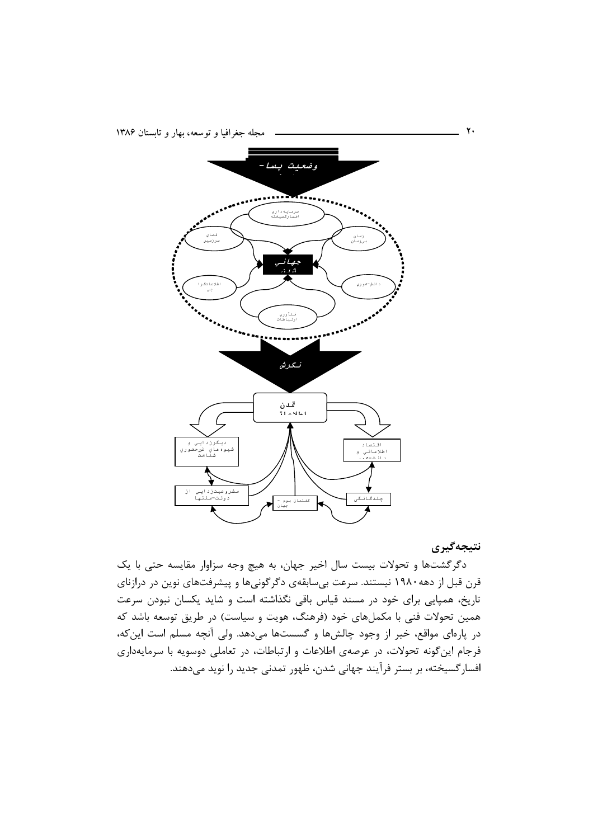

نتيجەگيرى

دگرگشتها و تحولات بیست سال اخیر جهان، به هیچ وجه سزاوار مقایسه حتی با یک قرن قبل از دهه۱۹۸۰ نیستند. سرعت بی سابقهی دگر گونی ها و پیشرفتهای نوین در درازنای تاریخ، همپایی برای خود در مسند قیاس باقی نگذاشته است و شاید یکسان نبودن سرعت همین تحولات فنی با مکملهای خود (فرهنگ، هویت و سیاست) در طریق توسعه باشد که در پارهای مواقع، خبر از وجود چالشها و گسستها میدهد. ولی آنچه مسلم است این که، فرجام اینگونه تحولات، در عرصهی اطلاعات و ارتباطات، در تعاملی دوسویه با سرمایهداری افسارگسیخته، بر بستر فرآیند جهانی شدن، ظهور تمدنی جدید را نوید میدهند.

٢.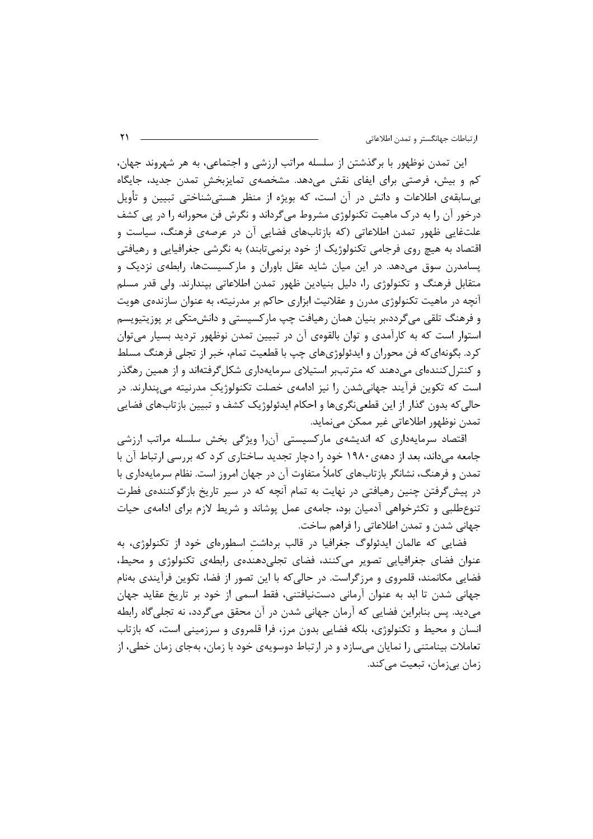این تمدن نوظهور با برگذشتن از سلسله مراتب ارزشی و اجتماعی، به هر شهروند جهان، کم و بیش، فرصتی برای ایفای نقش میدهد. مشخصهی تمایزبخش تمدن جدید، جایگاه بے،سابقەی اطلاعات و دانش در آن است، که بویژه از منظر هستے،شناختی تبیین و تأویل درخور آن را به درک ماهیت تکنولوژی مشروط می گرداند و نگرش فن محورانه را در پی کشف علتغایی ظهور تمدن اطلاعاتی (که بازتابهای فضایی آن در عرصهی فرهنگ، سیاست و اقتصاد به هیچ روی فرجامی تکنولوژیک از خود برنمیتابند) به نگرشی جغرافیایی و رهیافتی یسامدرن سوق می۵هد. در این میان شاید عقل باوران و مارکسیستها، رابطهی نزدیک و متقابل فرهنگ و تکنولوژی را، دلیل بنیادین ظهور تمدن اطلاعاتی بپندارند. ولی قدر مسلم آنچه در ماهیت تکنولوژی مدرن و عقلانیت ابزاری حاکم بر مدرنیته، به عنوان سازندهی هویت و فرهنگ تلقی میگردد،بر بنیان همان رهیافت چپ مارکسیستی و دانشءتکی بر پوزیتیویسم استوار است که به کارآمدی و توان بالقومی آن در تبیین تمدن نوظهور تردید بسیار می توان کرد. بگونهای که فن محوران و ایدئولوژیهای چپ با قطعیت تمام، خبر از تجلی فرهنگ مسلط و کنترل کنندهای می دهند که مترتببر استیلای سرمایهداری شکل گرفتهاند و از همین رهگذر است که تکوین فرآیند جهانیشدن را نیز ادامهی خصلت تکنولوژیک مدرنیته میپندارند. در حالي كه بدون گذار از اين قطعي نگريها و احكام ايدئولوژيک كشف و تبيين بازتابهاي فضايي تمدن نوظهور اطلاعاتي غير ممكن مي نمايد.

اقتصاد سرمایهداری که اندیشهی مارکسیستی آنرا ویژگی بخش سلسله مراتب ارزشی جامعه میداند، بعد از دههی ۱۹۸۰ خود را دچار تجدید ساختاری کرد که بررسی ارتباط آن با تمدن و فرهنگ، نشانگر بازتابهای کاملاً متفاوت آن در جهان امروز است. نظام سرمایهداری با در پیشگرفتن چنین رهیافتی در نهایت به تمام آنچه که در سیر تاریخ بازگوکنندهی فطرت تنوع طلبی و تکثرخواهی آدمیان بود، جامهی عمل پوشاند و شریط لازم برای ادامهی حیات جهانی شدن و تمدن اطلاعاتی را فراهم ساخت.

فضایی که عالمان ایدئولوگ جغرافیا در قالب برداشت اسطورهای خود از تکنولوژی، به عنوان فضای جغرافیایی تصویر میکنند، فضای تجلیدهندهی رابطهی تکنولوژی و محیط، فضایی مکانمند، قلمروی و مرزگراست. در حالی که با این تصور از فضا، تکوین فرآیندی بهنام جهانی شدن تا ابد به عنوان آرمانی دستنیافتنی، فقط اسمی از خود بر تاریخ عقاید جهان می،دید. پس بنابراین فضایی که آرمان جهانی شدن در آن محقق میگردد، نه تجلی گاه رابطه انسان و محیط و تکنولوژی، بلکه فضایی بدون مرز، فرا قلمروی و سرزمینی است، که بازتاب تعاملات بینامتنی را نمایان میسازد و در ارتباط دوسویهی خود با زمان، بهجای زمان خطی، از زمان بي;مان، تبعيت مي كند.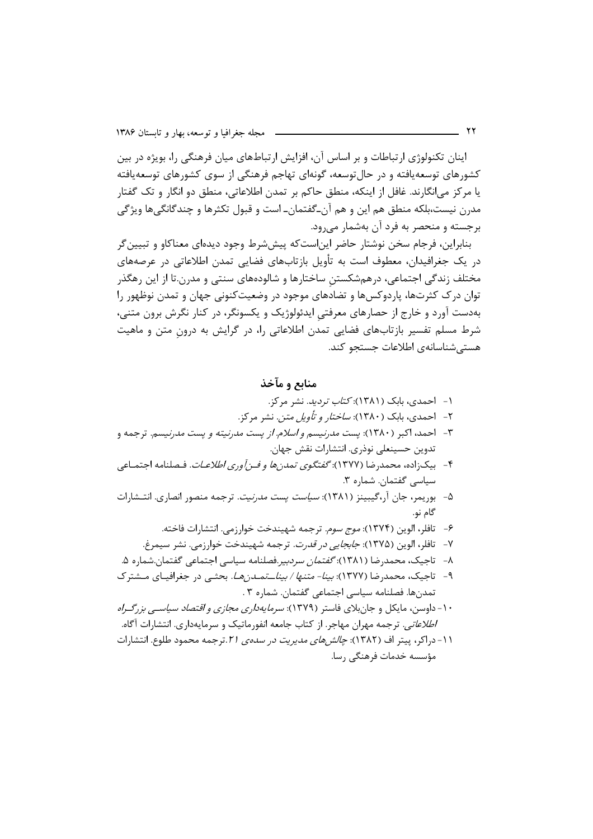اینان تکنولوژی ارتباطات و بر اساس آن، افزایش ارتباطهای میان فرهنگی را، بویژه در بین کشورهای توسعهپافته و در حال توسعه، گونهای تهاجم فرهنگی از سوی کشورهای توسعهپافته يا مركز مي|نگارند. غافل از اينكه، منطق حاكم بر تمدن اطلاعاتي، منطق دو انگار و تک گفتار مدرن نیست،بلکه منطق هم این و هم آن۔گفتمان۔ است و قبول تکثرها و چندگانگیها ویژگی برجسته و منحصر به فرد آن بهشمار می رود.

بنابراین، فرجام سخن نوشتار حاضر این|ستکه پیششرط وجود دیدهای معناکاو و تبیینگر در یک جغرافیدان، معطوف است به تأویل بازتابهای فضایی تمدن اطلاعاتی در عرصههای مختلف زندگی اجتماعی، درهمشکستن ساختارها و شالودههای سنتی و مدرن.تا از این رهگذر توان درک کثرتها، پاردوکسها و تضادهای موجود در وضعیتکنونی جهان و تمدن نوظهور را بهدست آورد و خارج از حصارهای معرفتی ایدئولوژیک و یکسونگر، در کنار نگرش برون متنی، شرط مسلم تفسیر بازتابهای فضایی تمدن اطلاعاتی را، در گرایش به درون متن و ماهیت هستے شناسانهی اطلاعات جستجو کند.

منابع و مآخذ

- ۱- احمدی، بابک (۱۳۸۱): *کتاب تردید*. نشر مرکز.
- ۲- احمدی، بابک (۱۳۸۰): *ساختار و تأویل متن.* نشر مرکز.
- ۳- احمد، اکبر (۱۳۸۰): پس*ت مدرنیسم و اسلام. از* پس*ت مدرنیته و پست مدرنیسم.* ترجمه و تدوين حسينعلي نوذري. انتشارات نقش جهان.
- ۴- بيكزاده، محمدرضا (١٣٧٧): *گفتگوي تمدنها و فـن آوري اطلاعـات*. فـصلنامه اجتمـاعي سیاسی گفتمان. شماره ۳.
- ۵- بوریمر، جان آر،گیبینز (۱۳۸۱): *سیاست پست مدرنیت.* ترجمه منصور انصاری. انتـشارات گام نو.
	- ۶- تافلر، الوين (١٣٧۴): *موج سوم.* ترجمه شهيندخت خوا<sub>ر</sub>زمي. انتشارات فاخته.
	- ٧- تافلر، الوين (١٣٧۵): *جابجايي در قدرت*. ترجمه شهيندخت خوارزمي. نشر سيمرغ.
- ۸− تاجیک، محمدرضا (۱۳۸۱): *گفتمان سردبیر*.فصلنامه سیاسی اجتماعی گفتمان.شماره ۵.
- ۹- تاجیک، محمدرضا (۱۳۷۷): *بینا- متنها / بیناــتمـدنهـا*. بحثـی در جغرافیـای مـشترک تمدنها. فصلنامه سياسي اجتماعي گفتمان. شماره ٣ .
- ۱۰- داوسن، مایکل و جان بلای فاستر (۱۳۷۹): *سرمایهداری مجازی و اقتصاد سیاسی بزرگراه اطلاعاتی.* ترجمه مهران مهاجر. از کتاب جامعه انفورماتیک و سرمایهداری. انتشارات آگاه.
- ١١- دراكر، ييتر اف (١٣٨٢): *چالش هاي مديريت در سدهي ٢١*.ترجمه محمود طلوع. انتشارات مؤسسه خدمات فرهنگی رسا.